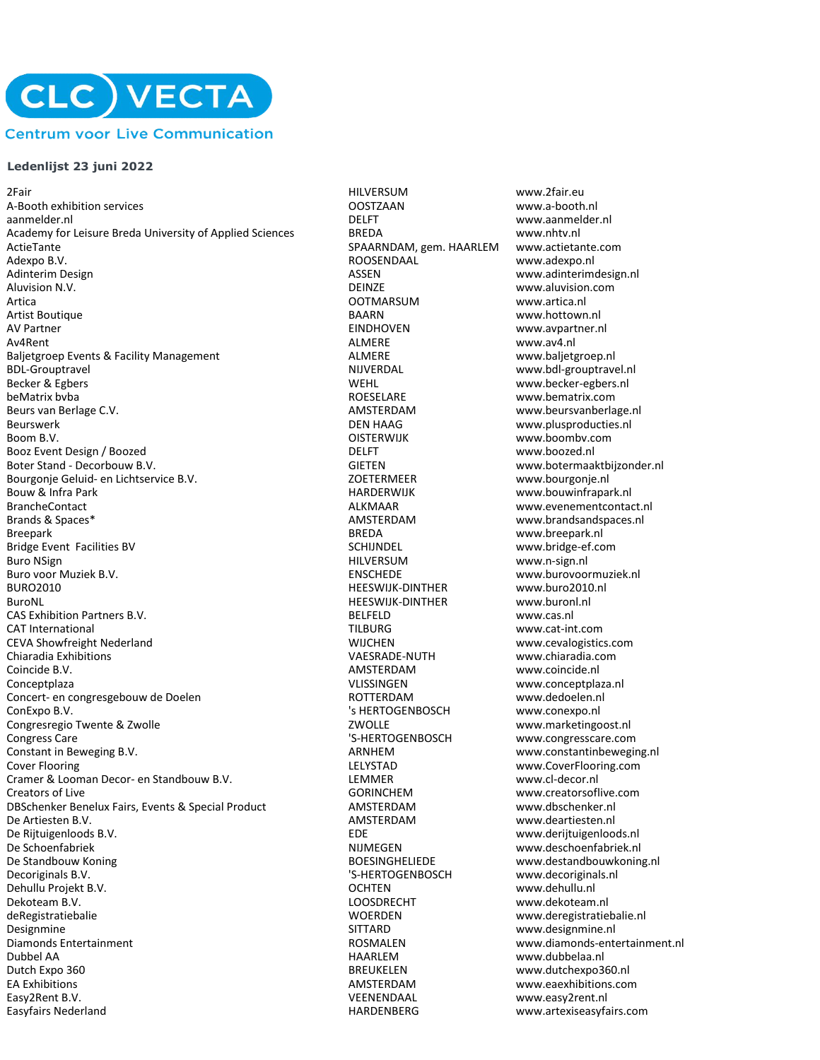

## **Ledenlijst 23 juni 2022**

2Fair HILVERSUM www.2fair.eu A-Booth exhibition services and the control of the control of the control of the control of the control of the control of the control of the control of the control of the control of the control of the control of the contro Academy for Leisure Breda University of Applied Sciences BREDA www.nhtv.nl ActieTante SPAARNDAM, gem. HAARLEM www.actietante.com Adexpo B.V. ROOSENDAAL www.adexpo.nl Adinterim Design and Communication of the Matterial ASSEN and ASSEN www.adinterimdesign.nl<br>Aluvision N.V. Communication of the Matterial DEINZE and Aluvision.com www.aluvision.com Artica OOTMARSUM www.artica.nl Artist Boutique **Artist Boutique Construction Construction** BAARN BAARN WWW.hottown.nl<br>AV Partner www.avpartner.r Av4Rent ALMERE www.av4.nl Baljetgroep Events & Facility Management **ALMERE** ALMERE www.baljetgroep.nl BDL-Grouptravel NIJVERDAL www.bdl-grouptravel.nl Becker & Egbers Theory and the Section of the WEHL www.becker-egbers.nl<br>BeMatrix byba **WEHL www.bematrix.com** beMatrix bvba **beMatrix.com beMatrix.com et al. 1998** ROESELARE www.bematrix.com<br>Beurs van Berlage C.V. **Austrix.com behandliche Beurs van AMSTERDAM** www.beursvanberla Beurswerk DEN HAAG www.plusproducties.nl Boom B.V. Community Community Community Community Community Community Community Community Community Community Community Community Community Community Community Community Community Community Community Community Community Co Booz Event Design / Boozed **DELFT** DELFT Www.boozed.nl Boter Stand - Decorbouw B.V. Charles Controller and Communist Controller General GIETEN www.botermaaktbijzonder.nl<br>Bourgonie Geluid- en Lichtservice B.V. Controller and COETERMEER www.bourgonie.nl Bourgonje Geluid- en Lichtservice B.V. ZOETERMEER www.bourgonje.nl Bouw & Infra Park **Exercise Souting Community Community** HARDERWIJK www.bouwinfrapark.nl<br>BrancheContact and the Controller of the Marian ALKMAAR AND www.evenementcontact Brands & Spaces\* The Spaces of the Spaces and Spaces and Spaces and AMSTERDAM www.brandsandspaces.nl Breepark and the state of the state of the state of the BREDA state of the www.breepark.nl Bridge Event Facilities BV SCHIJNDEL www.bridge-ef.com Buro NSign HILVERSUM www.n-sign.nl Buro voor Muziek B.V. ENSCHEDE www.burovoormuziek.nl BURO2010 HEESWIJK-DINTHER www.buro2010.nl CAS Exhibition Partners B.V. CAS Exhibition Partners B.V. CAT International www.cas.nl<br>CAT International www.cat-in CAT International TILBURG www.cat-int.com CEVA Showfreight Nederland WIJCHEN www.cevalogistics.com Chiaradia Exhibitions VAESRADE-NUTH www.chiaradia.com Coincide B.V. AMSTERDAM www.coincide.nl Conceptplaza **Conceptplaza** Conceptplaza.nl<br>
Concert- en congresgebouw de Doelen **www.conceptplaza.nl**<br>
ROTTERDAM Www.dedoelen.nl Concert- en congresgebouw de Doelen ConExpo B.V. 's HERTOGENBOSCH www.conexpo.nl Congresregio Twente & Zwolle **Congress Cancel Congress Care** www.marketingoost.nl<br>Congress Care www.congresscare.com Congress Care 'S-HERTOGENBOSCH www.congresscare.com Constant in Beweging B.V. ARNHEM www.constantinbeweging.nl Cover Flooring<br>Cramer & Looman Decor- en Standbouw B.V.<br>Cramer & Looman Decor- en Standbouw B.V.<br>LEMMER More More Networks and Welfer Western Website of the Cramer & Looman Decor Cramer & Looman Decor- en Standbouw B.V. LEMMER<br>Creators of Live GORINGHEM DBSchenker Benelux Fairs, Events & Special Product<br>De Artiesten B.V. De Artiesten B.V. AMSTERDAM www.deartiesten.nl De Schoenfabriek NIJMEGEN www.deschoenfabriek.nl De Standbouw Koning The Standbouw Koning and BOESINGHELIEDE www.destandbouwkoning.nl Decoriginals B.V. **The Community Community Community Community** S-HERTOGENBOSCH www.decoriginals.nl Dehullu Projekt B.V. OCHTEN www.dehullu.nl Dekoteam B.V. LOOSDRECHT www.dekoteam.nl deRegistratiebalie WOERDEN www.deregistratiebalie.nl Designmine SITTARD www.designmine.nl Dubbel AA HAARLEM www.dubbelaa.nl Dutch Expo 360 BREUKELEN www.dutchexpo360.nl EA Exhibitions AMSTERDAM www.eaexhibitions.com Easy2Rent B.V. VEENENDAAL www.easy2rent.nl

Aluvision.com<br>
Aluvision.com<br>
Aluvision.com<br>
Metal www.artica.nl HEESWIJK-DINTHER GORINCHEM www.creatorsoflive.com<br>AMSTERDAM www.dbschenker.nl EDE **B.V. EDE** www.derijtuigenloods.nl

www.aanmelder.nl www.avpartner.nl www.beurs van berlage.nl www.evenementcontact.nl www.diamonds-entertainment.nl www.artexiseasyfairs.com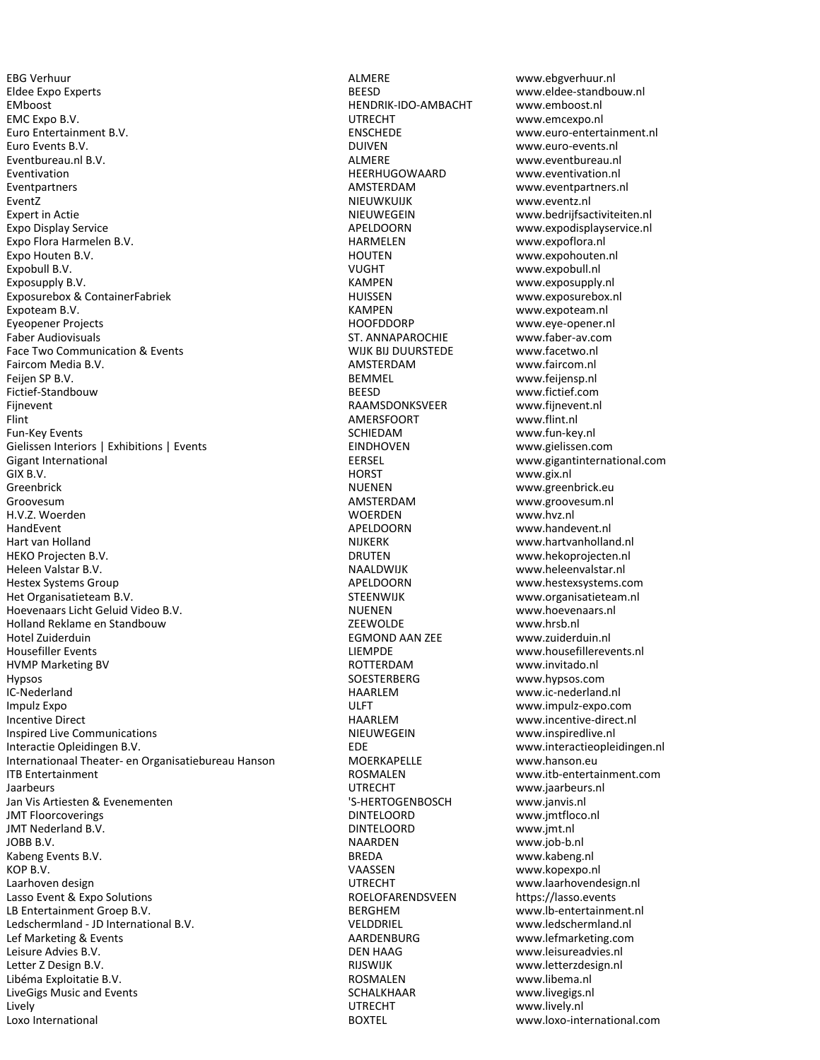EBG Verhuur ALMERE www.ebgverhuur.nl Eldee Expo Experts BEESD www.eldee-standbouw.nl EMboost HENDRIK-IDO-AMBACHT www.emboost.nl EMC Expo B.V. UTRECHT www.emcexpo.nl Euro Entertainment B.V. Euro Entertainment.nl<br>
Euro Events B.V. Euro-events.nl<br>
Euro Events B.V. Euro-events.nl Eventbureau.nl B.V. The context of the context of the context of the ALMERE www.eventbureau.nl and the context of the context of the ALMERE www.eventbureau.nl Eventivation HEERHUGOWAARD www.eventivation.nl Eventpartners AMSTERDAM www.eventpartners.nl EventZ NIEUWKUIJK www.eventz.nl Expert in Actie **NIEUWEGEIN** WEDWEGEIN www.bedrijfsactiviteiten.nl Expo Display Service and Expo Display Service APELDOORN www.expodisplayservice.nl<br>
Expo Flora Harmelen B.V. The Contract of the Marmelen HARMELEN www.expoflora.nl Expo Flora Harmelen B.V.<br>Expo Houten B.V. Harmelen B.V. HARMELEN WARMELEN Expobull B.V. **Expobull B.V.** WE CONSERVENT WAS SERVENT WAT WAS ARRESTED FOR A VUGHT WAS SERVENT WAT WAS A VEHICLE ASSAULTED FOR A VEHICLE ASSAULTED FOR A VEHICLE ASSAULTED FOR A VEHICLE ASSAULTED FOR A VEHICLE ASSAULTED F Exposupply B.V. KAMPEN www.exposupply.nl Exposurebox & ContainerFabriek HUISSEN www.exposurebox.nl Expoteam B.V. KAMPEN www.expoteam.nl Eyeopener Projects HOOFDDORP www.eye-opener.nl Faber Audiovisuals **Faber Audiovisuals** ST. ANNAPAROCHIE www.faber-av.com<br>Face Two Communication & Fvents **ST. ANNAPAROCHIE** www.facetwo.nl Face Two Communication & Events Faircom Media B.V. AMSTERDAM www.faircom.nl Feijen SP B.V. November 2012 and the Second Second Bemel BEMMEL www.feijensp.nl<br>Fictief-Standbouw November 2012 and the BEESD www.fictief.com Fictief-Standbouw BEESD Fijnevent RAAMSDONKSVEER www.fijnevent.nl Flint AMERSFOORT www.flint.nl Fun-Key Events **SCHIEDAM** www.fun-key.nl Gielissen Interiors | Exhibitions | Events<br>Gigant International www.gielissen.com<br>EERSEL ERSEL www.gigantinterna Gigant International EERSEL www.gigantinternational.com GIX B.V. HORST www.gix.nl Greenbrick and the state of the state of the NUENEN www.greenbrick.eu Groovesum AMSTERDAM www.groovesum.nl H.V.Z. Woerden WOERDEN www.hvz.nl HandEvent APELDOORN www.handevent.nl Hart van Holland (1999) (1999) (1999) (1999) (1999) (1999) (1999) (1999) (1999) (1999) (1999) (1999) (1999) (1<br>DRUTEN (1999) (1999) (1999) (1999) (1999) (1999) (1999) (1999) (1999) (1999) (1999) (1999) (1999) (1999) (199 Heleen Valstar B.V. NAALDWIJK www.heleenvalstar.nl Hestex Systems Group and Theorem Communications of the MCLIDOORN www.hestexsystems.com<br>
Het Organisatieteam B.V. The Communications of the STEENWIJK www.organisatieteam.nl Het Organisatieteam B.V. Hoevenaars Licht Geluid Video B.V. 
Something the Something of the MUENEN and the Museum www.hoevenaars.nl<br>
Holland Reklame en Standhouw Holland Reklame en Standbouw and the Standbouw and Market EEWOLDE www.hrsb.nl<br>Hotel Zuiderduin understützt behandelt als and the Standard FGMOND AAN ZEE Hotel Zuiderduin EGMOND AAN ZEE<br>Housefiller Events HVMP Marketing BV Hypsos SOESTERBERG www.hypsos.com Impulz Expo ULFT www.impulz-expo.com Incentive Direct **Example 2018** MAARLEM www.incentive-direct.nl Inspired Live Communications and the Communications of the Communications of the Communications of the Communications of the Communications of the Communications of the Communications of the Communications of the Communica Interactie Opleidingen B.V. EDE EXAMENT EDE EXAMELLE www.interactieopleidingen.nl<br>Internationaal Theater- en Organisatiebureau Hanson MOERKAPELLE www.hanson.eu Internationaal Theater- en Organisatiebureau Hanson MOERKAPELLE www.hanson.eu ITB Entertainment ROSMALEN www.itb-entertainment.com Jaarbeurs volley and the UTRECHT www.jaarbeurs.nl<br>Jan Vis Artiesten & Evenementen The UTRECHT WWW.janvis.nl Jan Vis Artiesten & Evenementen JMT Floorcoverings DINTELOORD www.jmtfloco.nl JMT Nederland B.V. DINTELOORD www.jmt.nl JOBB B.V. NAARDEN www.job-b.nl Kabeng Events B.V. BREDA www.kabeng.nl Laarhoven design under the control of the UTRECHT www.laarhovendesign.nl<br>
Lasso Event & Expo Solutions the Control of the COLOFARENDSVEEN https://lasso.events Lasso Event & Expo Solutions LB Entertainment Groep B.V. BERGHEM www.lb-entertainment.nl Ledschermland - JD International B.V. VELDDRIEL www.ledschermland.nl Lef Marketing & Events AARDENBURG www.lefmarketing.com Leisure Advies B.V. DEN HAAG www.leisureadvies.nl Libéma Exploitatie B.V. Charles and the control of the control of the ROSMALEN www.libema.nl<br>
LiveGigs Music and Events Charles and Events and Events and Events and Charles and Charles SCHALKHAAR LiveGigs Music and Events **SCHALKHAAR** www.livegigs.<br>Lively UTRECHT www.lively.nl Lively UTRECHT www.lively.nl Loxo International BOXTEL www.loxo-international.com

RIJSWIJK www.letterzdesign.nl<br>ROSMALEN www.libema.nl

Euro Events B.V. DUIVEN www.euro-events.nl www.expohouten.nl www.hekoprojecten.nl LIEMPDE www.housefillerevents.nl<br>ROTTERDAM www.invitado.nl www.ic-nederland.nl www.kopexpo.nl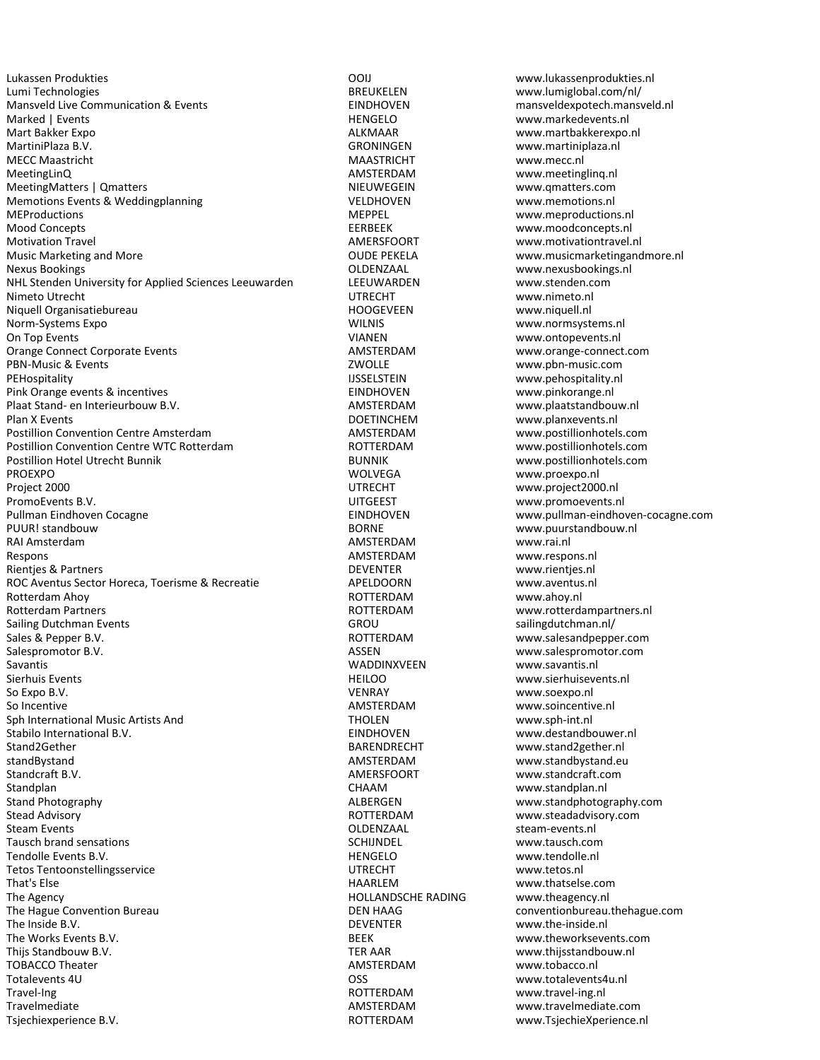Lumi Technologies BREUKELEN www.lumiglobal.com/nl/ Mansveld Live Communication & Events **EXECUTE:** EINDHOVEN mansveldexpotech.mansveld.nl Marked | Events | New York | Events | HENGELO | WWW.markedevents.nl Mart Bakker Expo ALKMAAR www.martbakkerexpo.nl MECC Maastricht MAASTRICHT www.mecc.nl MeetingLinQ and the control of the control of the MMSTERDAM www.meetingling.nl MeetingMatters | Qmatters NIEUWEGEIN NIEUWEGEIN www.qmatters.com Memotions Events & Weddingplanning VELDHOVEN www.memotions.nl MEProductions **MEPPEL** www.meproductions.nl Mood Concepts **EERBEEK** www.moodconcepts.nl<br>Motivation Travel **EERBEEK** Motivation Travel Motivation Travel **Motivation Travel AMERSFOORT** www.motivationtravel.nl<br>Music Marketing and More **www.musicmarketinganc COULD** PEKELA www.musicmarketinganc Music Marketing and More<br>
Nexus Bookings<br>
Nexus Bookings and More<br>
OLDENZAAL The COUDEN Www.nexusbookings.nl NHL Stenden University for Applied Sciences Leeuwarden LEEUWARDEN www.stenden.com Nimeto Utrecht UTRECHT www.nimeto.nl Niquell Organisatiebureau HOOGEVEEN www.niquell.nl Norm-Systems Expo WILNIS www.normsystems.nl On Top Events<br>
Orange Connect Corporate Events<br>
Orange Connect Corporate Events<br>
Orange Connect Corporate Events<br>
Orange Connect Corporate Events Orange Connect Corporate Events PBN-Music & Events ZWOLLE www.pbn-music.com PEHospitality<br>
Pink Orange events & incentives<br>
Pink Orange events & incentives<br>
INDHOVEN

EINDHOVEN

Pink Orange events & incentives Pink Orange events & incentives example and the example of the EINDHOVEN www.pinkorange.nl Plaat Stand- en Interieurbouw B.V. AMSTERDAM www.plaatstandbouw.nl Plan X Events **DOETINCHEM** www.planxevents.nl Postillion Convention Centre Amsterdam and AMSTERDAM www.postillionhotels.com<br>
Postillion Convention Centre WTC Rotterdam **AMSTERDAM** www.postillionhotels.com Postillion Convention Centre WTC Rotterdam **ROTTERDAM** ROTTERDAM **Postillion Hotel Utrecht Bunnik** PROEXPO WOLVEGA www.proexpo.nl PromoEvents B.V. **Example 20 and Series and Series and Series and Series and Series and Series and Series and Series and Series and Series and Series and Series and Series and Series and Series and Series and Series and Se** Pullman Eindhoven Cocagne EINDHOVEN www.pullman-eindhoven-cocagne.com PUUR! standbouw BORNE www.puurstandbouw.nl RAI Amsterdam AMSTERDAM www.rai.nl Respons and the contract of the contract of the contract of the MMSTERDAM www.respons.nl Rientjes & Partners DEVENTER www.rientjes.nl ROC Aventus Sector Horeca, Toerisme & Recreatie **APELDOORN** www.aventus.nl<br>Rotterdam Ahoy www.ahoy.nl Rotterdam Ahoy **ROTTERDAM ROTTERDAM** Rotterdam Partners **Rotterdam Partners** ROTTERDAM **ROTTERDAM** www.rotterdampartners.nl Sailing Dutchman Events GROU GROU Sailing Dutchman.nl/ Sales & Pepper B.V. Sales & Pepper B.V. Community Community Community ROTTERDAM www.salesandpepper.com Sales and Sales are a structured as the Sales of the Sales of the Sales of the Sales of the Sales of the Sales of the S Salespromotor B.V. ASSEN www.salespromotor.com Savantis Savantis Number of the Savantis WADDINXVEEN www.savantis.nl<br>Sierhuis Events Number of the Savantis of the Hellon Hellon Sierhuis Wumber of the Savantis of the Savantis of Sierhuis Events HEILOO www.sierhuisevents.nl So Incentive **AMSTERDAM** www.soincentive.nl Sph International Music Artists And THOLEN www.sph-int.nl Stabilo International B.V. EINDHOVEN www.destandbouwer.nl Stand2Gether BARENDRECHT www.stand2gether.nl standBystand AMSTERDAM www.standbystand.eu Standplan and the standplan of the standplan of the Standplan CHAAM www.standplan.nl<br>Stand Photography Stand Photography Stead Advisory **Example 20 and 20 and 20 and 20 and 20 and 20 and 20 and 20 and 20 and 20 and 20 and 20 and 20 and 20 and 20 and 20 and 20 and 20 and 20 and 20 and 20 and 20 and 20 and 20 and 20 and 20 and 20 and 20 and 20** Steam Events **Steam Events.nl** Steam-events.nl Steam-events.nl Steam-events.nl Steam-events.nl Steam-events.nl Steam-events.nl Steam-events.nl Steam-events.nl Steam-events.nl Steam-events.nl Steam-events.nl Steam-events.nl Tausch brand sensations and the sense of the sense of the SCHIJNDEL www.tausch.com<br>SCHIJNDEL Tendolle Events B.V. Sense and the sense of the sense of the HENGELO www.tendolle.nl Tendolle Events B.V. New York States and the MENGELO www.tendolle.com/<br>Tetos Tentoonstellingsservice and the MENGELO www.tetos.nl Tetos Tentoonstellingsservice and a series of the UTRECHT That's Else That's Else www.thatselse.com<br>The Agency The Agency and The Agency and The Agency and The Agency and The Agency and The Agency and The Agency The Hague Convention Bureau **Convention Bureau Convention** DEN HAAG conventionbureau.thehague.com The Inside B.V. DEVENTER www.the-inside.nl<br>The Works Events B.V. DEVENTER BEEK by the www.theworksever. The Works Events B.V. The Works Events B.V. Community Controller and the BEEK www.theworksevents.com<br>
Thijs Standbouw B.V. The Standbouw B.V. The Standbouw B.V. Community Controller and the Standbouw Controller M TOBACCO Theater<br>Totalevents 4U Totalevents 4U OSS www.totalevents4u.nl Travel-Ing ROTTERDAM www.travel-ing.nl

HOLLANDSCHE RADING

Lukassen Produkties OOIJ www.lukassenprodukties.nl www.martiniplaza.nl OLDENZAAL www.nexusbookings.nl www.postillionhotels.com www.project2000.nl www.soexpo.nl AMERSFOORT www.standcraft.com www.standphotography.com TER AAR www.thijsstandbouw.nl<br>AMSTERDAM www.tobacco.nl www.travelmediate.com Tsjechiexperience B.V. ROTTERDAM www.TsjechieXperience.nl